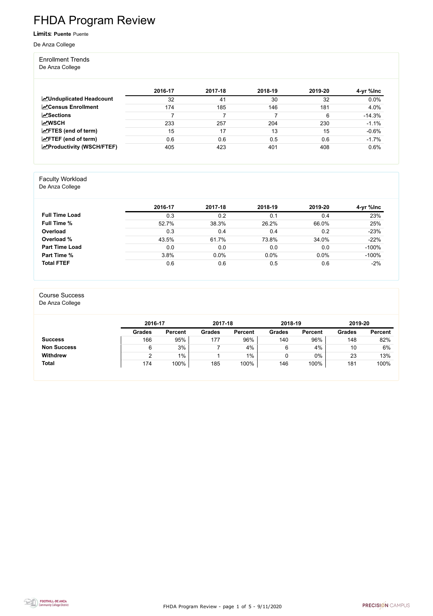FHDA Program Review - page 1 of 5 - 9/11/2020



# FHDA Program Review

Limits: **Puente** Puente

De Anza College

#### Enrollment Trends

De Anza College

|                                   | 2016-17 | 2017-18 | 2018-19 | 2019-20 | 4-yr %lnc |
|-----------------------------------|---------|---------|---------|---------|-----------|
| <b>MUnduplicated Headcount</b>    | 32      | 41      | 30      | 32      | 0.0%      |
| <b>ZCensus Enrollment</b>         | 174     | 185     | 146     | 181     | 4.0%      |
| $\mathbf{z}$ Sections             |         |         |         | 6       | $-14.3%$  |
| <b>MWSCH</b>                      | 233     | 257     | 204     | 230     | $-1.1%$   |
| $\angle$ FTES (end of term)       | 15      | 17      | 13      | 15      | $-0.6%$   |
| $\angle$ FTEF (end of term)       | 0.6     | 0.6     | 0.5     | 0.6     | $-1.7%$   |
| <b>EXProductivity (WSCH/FTEF)</b> | 405     | 423     | 401     | 408     | 0.6%      |

#### Faculty Workload

De Anza College

|                       | 2016-17 | 2017-18 | 2018-19 | 2019-20 | 4-yr %lnc |
|-----------------------|---------|---------|---------|---------|-----------|
| <b>Full Time Load</b> | 0.3     | 0.2     | 0.1     | 0.4     | 23%       |
| <b>Full Time %</b>    | 52.7%   | 38.3%   | 26.2%   | 66.0%   | 25%       |
| Overload              | 0.3     | 0.4     | 0.4     | 0.2     | $-23%$    |
| Overload %            | 43.5%   | 61.7%   | 73.8%   | 34.0%   | $-22%$    |
| <b>Part Time Load</b> | 0.0     | 0.0     | 0.0     | 0.0     | $-100%$   |
| <b>Part Time %</b>    | 3.8%    | 0.0%    | 0.0%    | 0.0%    | $-100%$   |
| <b>Total FTEF</b>     | 0.6     | 0.6     | 0.5     | 0.6     | $-2%$     |

#### Course Success

De Anza College

|                    | 2016-17       |                | 2017-18       |                | 2018-19       |                | 2019-20       |                |
|--------------------|---------------|----------------|---------------|----------------|---------------|----------------|---------------|----------------|
|                    | <b>Grades</b> | <b>Percent</b> | <b>Grades</b> | <b>Percent</b> | <b>Grades</b> | <b>Percent</b> | <b>Grades</b> | <b>Percent</b> |
| <b>Success</b>     | 166           | 95%            | 177           | 96%            | 140           | 96%            | 148           | 82%            |
| <b>Non Success</b> |               | 3%             |               | 4%             | 6             | 4%             | 10            | 6%             |
| <b>Withdrew</b>    |               | 1%             |               | $1\%$          | U             | $0\%$          | 23            | 13%            |
| <b>Total</b>       | 174           | 100%           | 185           | 100%           | 146           | 100%           | 181           | 100%           |

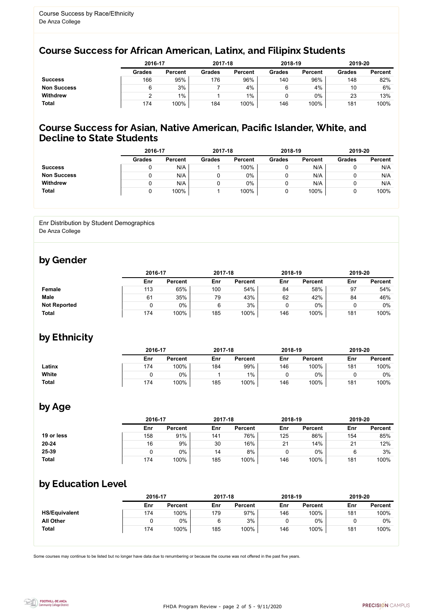

Some courses may continue to be listed but no longer have data due to renumbering or because the course was not offered in the past five years.



## Course Success for African American, Latinx, and Filipinx Students

### Course Success for Asian, Native American, Pacific Islander, White, and Decline to State Students

|                    | 2016-17       |                |               | 2017-18        |               | 2018-19        |               | 2019-20        |
|--------------------|---------------|----------------|---------------|----------------|---------------|----------------|---------------|----------------|
|                    | <b>Grades</b> | <b>Percent</b> | <b>Grades</b> | <b>Percent</b> | <b>Grades</b> | <b>Percent</b> | <b>Grades</b> | <b>Percent</b> |
| <b>Success</b>     | 166           | 95%            | 176           | 96%            | 140           | 96%            | 148           | 82%            |
| <b>Non Success</b> | 6             | 3%             |               | 4%             |               | 4%             | 10            | 6%             |
| <b>Withdrew</b>    |               | $1\%$          |               | $1\%$          |               | $0\%$          | 23            | 13%            |
| <b>Total</b>       | 174           | 100%           | 184           | 100%           | 146           | 100%           | 181           | 100%           |

|                    | 2016-17       |                | 2017-18       |                | 2018-19       |                | 2019-20       |                |
|--------------------|---------------|----------------|---------------|----------------|---------------|----------------|---------------|----------------|
|                    | <b>Grades</b> | <b>Percent</b> | <b>Grades</b> | <b>Percent</b> | <b>Grades</b> | <b>Percent</b> | <b>Grades</b> | <b>Percent</b> |
| <b>Success</b>     |               | N/A            |               | 100%           |               | N/A            |               | N/A            |
| <b>Non Success</b> |               | N/A            |               | $0\%$          |               | N/A            |               | N/A            |
| <b>Withdrew</b>    |               | N/A            |               | $0\%$          |               | N/A            |               | N/A            |
| <b>Total</b>       |               | 100%           |               | 100%           |               | 100%           |               | 100%           |

#### Enr Distribution by Student Demographics De Anza College

### by Gender

|                     |     | 2016-17        |     | 2017-18        |     | 2018-19        |     | 2019-20        |  |
|---------------------|-----|----------------|-----|----------------|-----|----------------|-----|----------------|--|
|                     | Enr | <b>Percent</b> | Enr | <b>Percent</b> | Enr | <b>Percent</b> | Enr | <b>Percent</b> |  |
| <b>Female</b>       | 113 | 65%            | 100 | 54%            | 84  | 58%            | 97  | 54%            |  |
| <b>Male</b>         | 61  | 35%            | 79  | 43%            | 62  | 42%            | 84  | 46%            |  |
| <b>Not Reported</b> |     | 0%             |     | 3%             |     | $0\%$          |     | $0\%$          |  |
| <b>Total</b>        | 174 | 100%           | 185 | $100\%$        | 146 | 100%           | 181 | 100%           |  |

## by Ethnicity

|              | 2016-17 |                |     | 2017-18        |            | 2018-19        |     | 2019-20        |  |
|--------------|---------|----------------|-----|----------------|------------|----------------|-----|----------------|--|
|              | Enr     | <b>Percent</b> | Enr | <b>Percent</b> | <b>Enr</b> | <b>Percent</b> | Enr | <b>Percent</b> |  |
| Latinx       | 174     | 100%           | 184 | 99%            | 146        | 100%           | 181 | 100%           |  |
| White        |         | $0\%$          |     | 1%             |            | $0\%$          |     | 0%             |  |
| <b>Total</b> | 174     | 100%           | 185 | 100%           | 146        | 100%           | 181 | 100%           |  |

### by Age

|              | 2016-17 |                |     | 2017-18        |     | 2018-19        | 2019-20 |                |
|--------------|---------|----------------|-----|----------------|-----|----------------|---------|----------------|
|              | Enr     | <b>Percent</b> | Enr | <b>Percent</b> | Enr | <b>Percent</b> | Enr     | <b>Percent</b> |
| 19 or less   | 158     | 91%            | 141 | 76%            | 125 | 86%            | 154     | 85%            |
| $20 - 24$    | 16      | 9%             | 30  | 16%            | 21  | 14%            | 21      | 12%            |
| 25-39        |         | $0\%$          | 14  | 8%             |     | 0%             |         | 3%             |
| <b>Total</b> | 174     | 100%           | 185 | 100%           | 146 | 100%           | 181     | 100%           |

### by Education Level

|                      | 2016-17 |                |     | 2017-18        |     | 2018-19        | 2019-20 |                |
|----------------------|---------|----------------|-----|----------------|-----|----------------|---------|----------------|
|                      | Enr     | <b>Percent</b> | Enr | <b>Percent</b> | Enr | <b>Percent</b> | Enr     | <b>Percent</b> |
| <b>HS/Equivalent</b> | 174     | 100%           | 179 | 97%            | 146 | 100%           | 181     | 100%           |
| <b>All Other</b>     |         | 0%             | ิค  | 3%             |     | $0\%$          | 0       | 0%             |
| <b>Total</b>         | 174     | 100%           | 185 | 100%           | 146 | 100%           | 181     | 100%           |
|                      |         |                |     |                |     |                |         |                |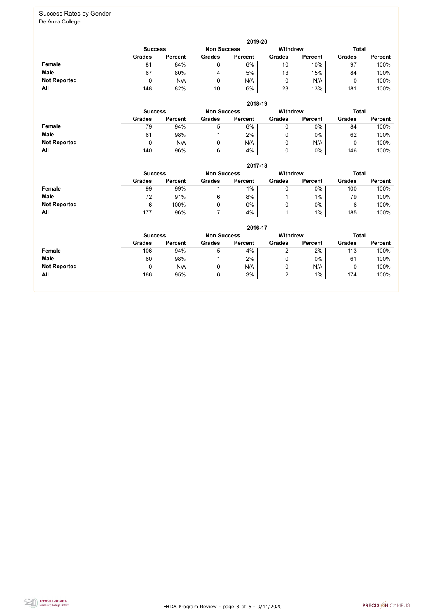FHDA Program Review - page 3 of 5 - 9/11/2020



#### Success Rates by Gender De Anza College

|                     |                                                                  |                |               | 2019-20        |               |                |               |                |  |
|---------------------|------------------------------------------------------------------|----------------|---------------|----------------|---------------|----------------|---------------|----------------|--|
|                     | Withdrew<br><b>Total</b><br><b>Non Success</b><br><b>Success</b> |                |               |                |               |                |               |                |  |
|                     | <b>Grades</b>                                                    | <b>Percent</b> | <b>Grades</b> | <b>Percent</b> | <b>Grades</b> | <b>Percent</b> | <b>Grades</b> | <b>Percent</b> |  |
| Female              | 81                                                               | 84%            | 6             | 6%             | 10            | 10%            | 97            | 100%           |  |
| <b>Male</b>         | 67                                                               | 80%            | 4             | 5%             | 13            | 15%            | 84            | 100%           |  |
| <b>Not Reported</b> |                                                                  | N/A            |               | N/A            |               | N/A            |               | 100%           |  |
| All                 | 148                                                              | 82%            | 10            | 6%             | 23            | 13%            | 181           | 100%           |  |

|                     |               |                                                                         |               | 2018-19        |               |                |               |                |  |
|---------------------|---------------|-------------------------------------------------------------------------|---------------|----------------|---------------|----------------|---------------|----------------|--|
|                     |               | <b>Withdrew</b><br><b>Total</b><br><b>Non Success</b><br><b>Success</b> |               |                |               |                |               |                |  |
|                     | <b>Grades</b> | <b>Percent</b>                                                          | <b>Grades</b> | <b>Percent</b> | <b>Grades</b> | <b>Percent</b> | <b>Grades</b> | <b>Percent</b> |  |
| <b>Female</b>       | 79            | 94%                                                                     | 5             | 6%             |               | $0\%$          | 84            | 100%           |  |
| <b>Male</b>         | 61            | 98%                                                                     |               | 2%             |               | $0\%$          | 62            | 100%           |  |
| <b>Not Reported</b> |               | N/A                                                                     |               | N/A            |               | N/A            |               | 100%           |  |
| All                 | 140           | 96%                                                                     | 6             | 4%             |               | 0%             | 146           | 100%           |  |

|                     |                                                                         |                |               | 2017-18        |               |                |               |                |  |
|---------------------|-------------------------------------------------------------------------|----------------|---------------|----------------|---------------|----------------|---------------|----------------|--|
|                     | <b>Withdrew</b><br><b>Total</b><br><b>Non Success</b><br><b>Success</b> |                |               |                |               |                |               |                |  |
|                     | <b>Grades</b>                                                           | <b>Percent</b> | <b>Grades</b> | <b>Percent</b> | <b>Grades</b> | <b>Percent</b> | <b>Grades</b> | <b>Percent</b> |  |
| Female              | 99                                                                      | 99%            |               | $1\%$          |               | $0\%$          | 100           | 100%           |  |
| <b>Male</b>         | 72                                                                      | 91%            | 6             | 8%             |               | 1%             | 79            | 100%           |  |
| <b>Not Reported</b> | 6                                                                       | 100%           | 0             | 0%             |               | $0\%$          | 6             | 100%           |  |
| All                 | 177                                                                     | 96%            |               | 4%             |               | $1\%$          | 185           | 100%           |  |

|                     | 2016-17        |                    |               |                 |               |                |               |                |
|---------------------|----------------|--------------------|---------------|-----------------|---------------|----------------|---------------|----------------|
|                     | <b>Success</b> | <b>Non Success</b> |               | <b>Withdrew</b> |               | <b>Total</b>   |               |                |
|                     | <b>Grades</b>  | <b>Percent</b>     | <b>Grades</b> | <b>Percent</b>  | <b>Grades</b> | <b>Percent</b> | <b>Grades</b> | <b>Percent</b> |
| Female              | 106            | 94%                | 5             | 4%              |               | 2%             | 113           | 100%           |
| <b>Male</b>         | 60             | 98%                |               | 2%              | 0             | 0%             | 61            | 100%           |
| <b>Not Reported</b> |                | N/A                |               | N/A             | 0             | N/A            |               | 100%           |
| All                 | 166            | 95%                | 6             | 3%              | 2             | $1\%$          | 174           | 100%           |
|                     |                |                    |               |                 |               |                |               |                |

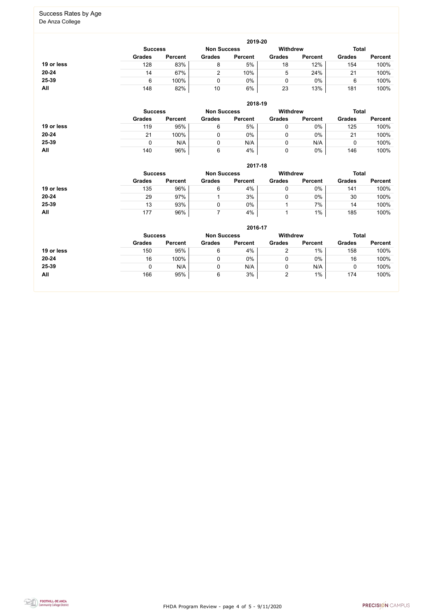FHDA Program Review - page 4 of 5 - 9/11/2020



# Success Rates by Age

De Anza College

|            |                                                         |                |               | 2019-20        |               |                |               |                |
|------------|---------------------------------------------------------|----------------|---------------|----------------|---------------|----------------|---------------|----------------|
|            | <b>Withdrew</b><br><b>Non Success</b><br><b>Success</b> |                |               |                |               |                | <b>Total</b>  |                |
|            | <b>Grades</b>                                           | <b>Percent</b> | <b>Grades</b> | <b>Percent</b> | <b>Grades</b> | <b>Percent</b> | <b>Grades</b> | <b>Percent</b> |
| 19 or less | 128                                                     | 83%            | 8             | 5%             | 18            | 12%            | 154           | 100%           |
| 20-24      | 14                                                      | 67%            |               | 10%            | b             | 24%            | 21            | 100%           |
| 25-39      |                                                         | 100%           |               | 0%             |               | $0\%$          | 6             | 100%           |
| All        | 148                                                     | 82%            | 10            | 6%             | 23            | 13%            | 181           | 100%           |

|            | 2018-19       |                                      |               |                |               |                 |               |                |  |
|------------|---------------|--------------------------------------|---------------|----------------|---------------|-----------------|---------------|----------------|--|
|            |               | <b>Non Success</b><br><b>Success</b> |               |                |               | <b>Withdrew</b> | <b>Total</b>  |                |  |
|            | <b>Grades</b> | <b>Percent</b>                       | <b>Grades</b> | <b>Percent</b> | <b>Grades</b> | <b>Percent</b>  | <b>Grades</b> | <b>Percent</b> |  |
| 19 or less | 119           | 95%                                  | 6             | 5%             |               | $0\%$           | 125           | 100%           |  |
| $20 - 24$  | 21            | 100%                                 |               | $0\%$          |               | $0\%$           | 21            | 100%           |  |
| 25-39      |               | N/A                                  |               | N/A            |               | N/A             |               | 100%           |  |
| All        | 140           | 96%                                  | 6             | 4%             |               | $0\%$           | 146           | 100%           |  |

|            |               |                                      |               | 2017-18        |               |                 |               |                |
|------------|---------------|--------------------------------------|---------------|----------------|---------------|-----------------|---------------|----------------|
|            |               | <b>Non Success</b><br><b>Success</b> |               |                |               | <b>Withdrew</b> |               |                |
|            | <b>Grades</b> | <b>Percent</b>                       | <b>Grades</b> | <b>Percent</b> | <b>Grades</b> | <b>Percent</b>  | <b>Grades</b> | <b>Percent</b> |
| 19 or less | 135           | 96%                                  | 6             | 4%             |               | 0%              | 141           | 100%           |
| 20-24      | 29            | 97%                                  |               | 3%             |               | 0%              | 30            | 100%           |
| 25-39      | 13            | 93%                                  | 0             | $0\%$          |               | 7%              | 14            | 100%           |
| All        | 177           | 96%                                  |               | 4%             |               | $1\%$           | 185           | 100%           |

|            | 2016-17        |                    |               |                |                 |                |               |                |
|------------|----------------|--------------------|---------------|----------------|-----------------|----------------|---------------|----------------|
|            | <b>Success</b> | <b>Non Success</b> |               |                | <b>Withdrew</b> |                | <b>Total</b>  |                |
|            | <b>Grades</b>  | <b>Percent</b>     | <b>Grades</b> | <b>Percent</b> | <b>Grades</b>   | <b>Percent</b> | <b>Grades</b> | <b>Percent</b> |
| 19 or less | 150            | 95%                | 6             | 4%             | 2               | $1\%$          | 158           | 100%           |
| $20 - 24$  | 16             | 100%               |               | 0%             | 0               | 0%             | 16            | 100%           |
| 25-39      |                | N/A                |               | N/A            | 0               | N/A            |               | 100%           |
| All        | 166            | 95%                | 6             | 3%             | 2               | $1\%$          | 174           | 100%           |
|            |                |                    |               |                |                 |                |               |                |